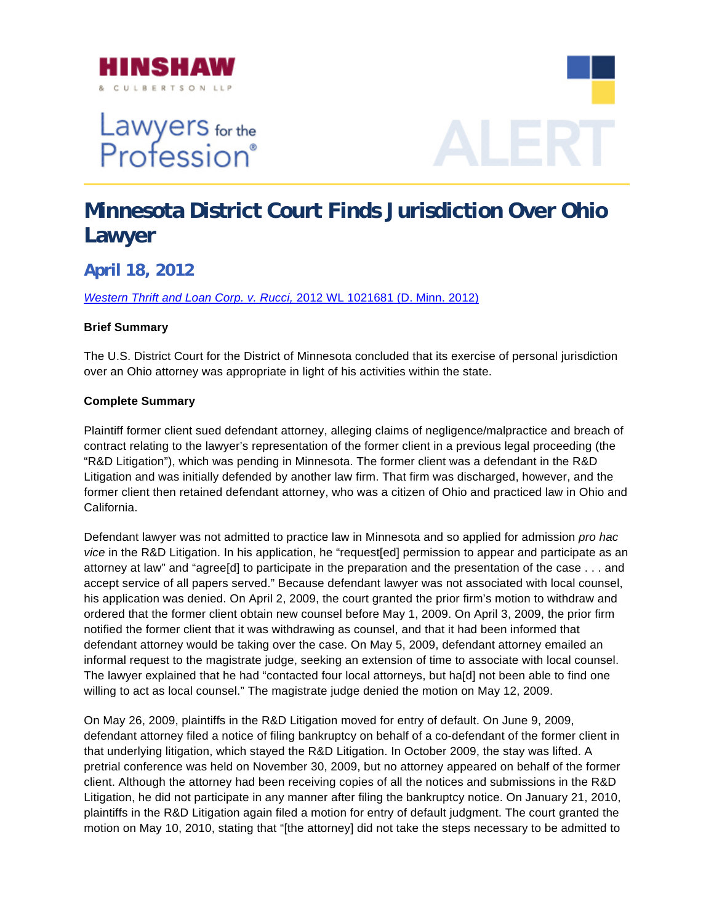

Lawyers for the<br>Profession®



## **Minnesota District Court Finds Jurisdiction Over Ohio Lawyer**

**April 18, 2012** 

*[Western Thrift and Loan Corp. v. Rucci,](http://www.hinshawlaw.com/files/upload/WesternThriftLoanCorp.v.Rucci.pdf)* 2012 WL 1021681 (D. Minn. 2012)

## **Brief Summary**

The U.S. District Court for the District of Minnesota concluded that its exercise of personal jurisdiction over an Ohio attorney was appropriate in light of his activities within the state.

## **Complete Summary**

Plaintiff former client sued defendant attorney, alleging claims of negligence/malpractice and breach of contract relating to the lawyer's representation of the former client in a previous legal proceeding (the "R&D Litigation"), which was pending in Minnesota. The former client was a defendant in the R&D Litigation and was initially defended by another law firm. That firm was discharged, however, and the former client then retained defendant attorney, who was a citizen of Ohio and practiced law in Ohio and California.

Defendant lawyer was not admitted to practice law in Minnesota and so applied for admission *pro hac vice* in the R&D Litigation. In his application, he "request[ed] permission to appear and participate as an attorney at law" and "agree[d] to participate in the preparation and the presentation of the case . . . and accept service of all papers served." Because defendant lawyer was not associated with local counsel, his application was denied. On April 2, 2009, the court granted the prior firm's motion to withdraw and ordered that the former client obtain new counsel before May 1, 2009. On April 3, 2009, the prior firm notified the former client that it was withdrawing as counsel, and that it had been informed that defendant attorney would be taking over the case. On May 5, 2009, defendant attorney emailed an informal request to the magistrate judge, seeking an extension of time to associate with local counsel. The lawyer explained that he had "contacted four local attorneys, but ha[d] not been able to find one willing to act as local counsel." The magistrate judge denied the motion on May 12, 2009.

On May 26, 2009, plaintiffs in the R&D Litigation moved for entry of default. On June 9, 2009, defendant attorney filed a notice of filing bankruptcy on behalf of a co-defendant of the former client in that underlying litigation, which stayed the R&D Litigation. In October 2009, the stay was lifted. A pretrial conference was held on November 30, 2009, but no attorney appeared on behalf of the former client. Although the attorney had been receiving copies of all the notices and submissions in the R&D Litigation, he did not participate in any manner after filing the bankruptcy notice. On January 21, 2010, plaintiffs in the R&D Litigation again filed a motion for entry of default judgment. The court granted the motion on May 10, 2010, stating that "[the attorney] did not take the steps necessary to be admitted to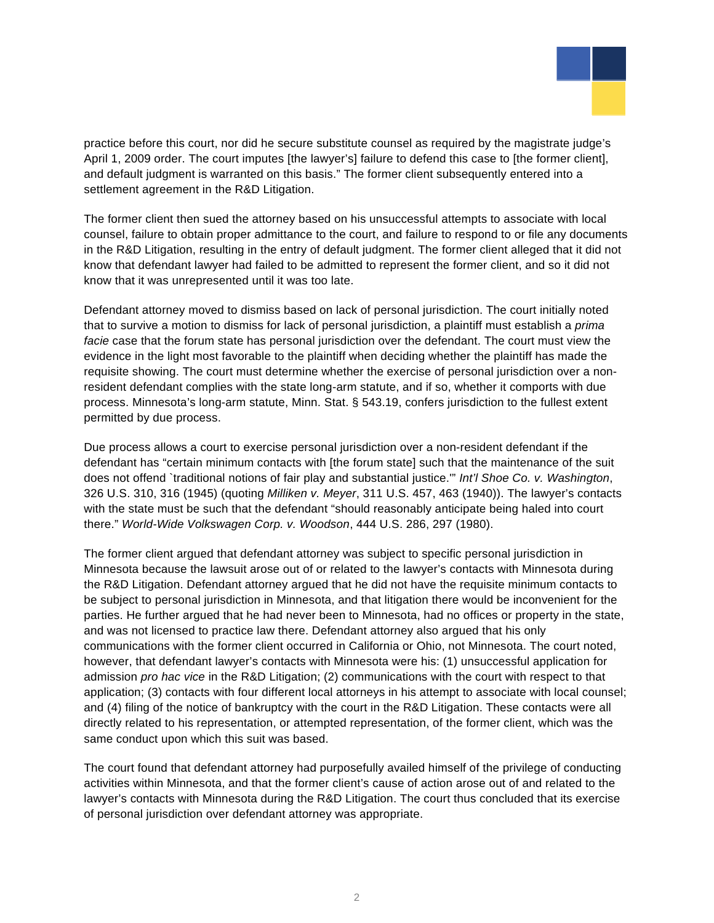

practice before this court, nor did he secure substitute counsel as required by the magistrate judge's April 1, 2009 order. The court imputes [the lawyer's] failure to defend this case to [the former client], and default judgment is warranted on this basis." The former client subsequently entered into a settlement agreement in the R&D Litigation.

The former client then sued the attorney based on his unsuccessful attempts to associate with local counsel, failure to obtain proper admittance to the court, and failure to respond to or file any documents in the R&D Litigation, resulting in the entry of default judgment. The former client alleged that it did not know that defendant lawyer had failed to be admitted to represent the former client, and so it did not know that it was unrepresented until it was too late.

Defendant attorney moved to dismiss based on lack of personal jurisdiction. The court initially noted that to survive a motion to dismiss for lack of personal jurisdiction, a plaintiff must establish a *prima facie* case that the forum state has personal jurisdiction over the defendant. The court must view the evidence in the light most favorable to the plaintiff when deciding whether the plaintiff has made the requisite showing. The court must determine whether the exercise of personal jurisdiction over a nonresident defendant complies with the state long-arm statute, and if so, whether it comports with due process. Minnesota's long-arm statute, Minn. Stat. § 543.19, confers jurisdiction to the fullest extent permitted by due process.

Due process allows a court to exercise personal jurisdiction over a non-resident defendant if the defendant has "certain minimum contacts with [the forum state] such that the maintenance of the suit does not offend `traditional notions of fair play and substantial justice.'" *Int'l Shoe Co. v. Washington*, 326 U.S. 310, 316 (1945) (quoting *Milliken v. Meyer*, 311 U.S. 457, 463 (1940)). The lawyer's contacts with the state must be such that the defendant "should reasonably anticipate being haled into court there." *World-Wide Volkswagen Corp. v. Woodson*, 444 U.S. 286, 297 (1980).

The former client argued that defendant attorney was subject to specific personal jurisdiction in Minnesota because the lawsuit arose out of or related to the lawyer's contacts with Minnesota during the R&D Litigation. Defendant attorney argued that he did not have the requisite minimum contacts to be subject to personal jurisdiction in Minnesota, and that litigation there would be inconvenient for the parties. He further argued that he had never been to Minnesota, had no offices or property in the state, and was not licensed to practice law there. Defendant attorney also argued that his only communications with the former client occurred in California or Ohio, not Minnesota. The court noted, however, that defendant lawyer's contacts with Minnesota were his: (1) unsuccessful application for admission *pro hac vice* in the R&D Litigation; (2) communications with the court with respect to that application; (3) contacts with four different local attorneys in his attempt to associate with local counsel; and (4) filing of the notice of bankruptcy with the court in the R&D Litigation. These contacts were all directly related to his representation, or attempted representation, of the former client, which was the same conduct upon which this suit was based.

The court found that defendant attorney had purposefully availed himself of the privilege of conducting activities within Minnesota, and that the former client's cause of action arose out of and related to the lawyer's contacts with Minnesota during the R&D Litigation. The court thus concluded that its exercise of personal jurisdiction over defendant attorney was appropriate.